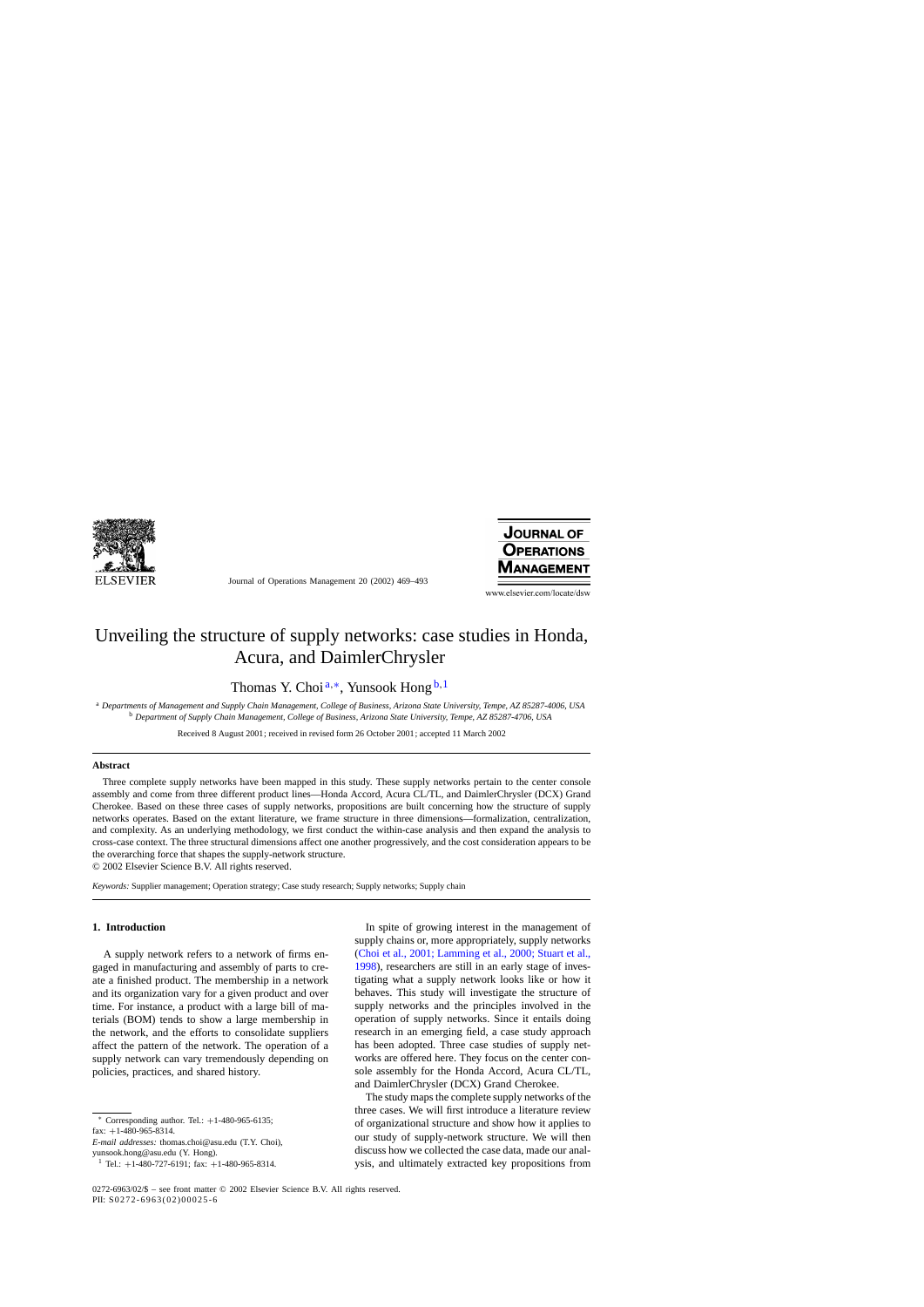

Journal of Operations Management 20 (2002) 469–493



www.elsevier.com/locate/dsw

## Unveiling the structure of supply networks: case studies in Honda, Acura, and DaimlerChrysler

Thomas Y. Choi<sup>a,\*</sup>, Yunsook Hong <sup>b, 1</sup>

<sup>a</sup> *Departments of Management and Supply Chain Management, College of Business, Arizona State University, Tempe, AZ 85287-4006, USA* <sup>b</sup> *Department of Supply Chain Management, College of Business, Arizona State University, Tempe, AZ 85287-4706, USA*

Received 8 August 2001; received in revised form 26 October 2001; accepted 11 March 2002

#### **Abstract**

Three complete supply networks have been mapped in this study. These supply networks pertain to the center console assembly and come from three different product lines—Honda Accord, Acura CL/TL, and DaimlerChrysler (DCX) Grand Cherokee. Based on these three cases of supply networks, propositions are built concerning how the structure of supply networks operates. Based on the extant literature, we frame structure in three dimensions—formalization, centralization, and complexity. As an underlying methodology, we first conduct the within-case analysis and then expand the analysis to cross-case context. The three structural dimensions affect one another progressively, and the cost consideration appears to be the overarching force that shapes the supply-network structure.

© 2002 Elsevier Science B.V. All rights reserved.

*Keywords:* Supplier management; Operation strategy; Case study research; Supply networks; Supply chain

#### **1. Introduction**

A supply network refers to a network of firms engaged in manufacturing and assembly of parts to create a finished product. The membership in a network and its organization vary for a given product and over time. For instance, a product with a large bill of materials (BOM) tends to show a large membership in the network, and the efforts to consolidate suppliers affect the pattern of the network. The operation of a supply network can vary tremendously depending on policies, practices, and shared history.

Corresponding author. Tel.:  $+1-480-965-6135$ ;

fax: +1-480-965-8314.

*E-mail addresses:* thomas.choi@asu.edu (T.Y. Choi), yunsook.hong@asu.edu (Y. Hong).

In spite of growing interest in the management of supply chains or, more appropriately, supply networks ([Choi et al., 2001; Lamming et al., 2000; Stuart et al.,](#page--1-0) [1998\),](#page--1-0) researchers are still in an early stage of investigating what a supply network looks like or how it behaves. This study will investigate the structure of supply networks and the principles involved in the operation of supply networks. Since it entails doing research in an emerging field, a case study approach has been adopted. Three case studies of supply networks are offered here. They focus on the center console assembly for the Honda Accord, Acura CL/TL, and DaimlerChrysler (DCX) Grand Cherokee.

The study maps the complete supply networks of the three cases. We will first introduce a literature review of organizational structure and show how it applies to our study of supply-network structure. We will then discuss how we collected the case data, made our analysis, and ultimately extracted key propositions from

<sup>&</sup>lt;sup>1</sup> Tel.:  $+1$ -480-727-6191; fax:  $+1$ -480-965-8314.

<sup>0272-6963/02/\$ –</sup> see front matter © 2002 Elsevier Science B.V. All rights reserved. PII: S0272-6963(02)00025-6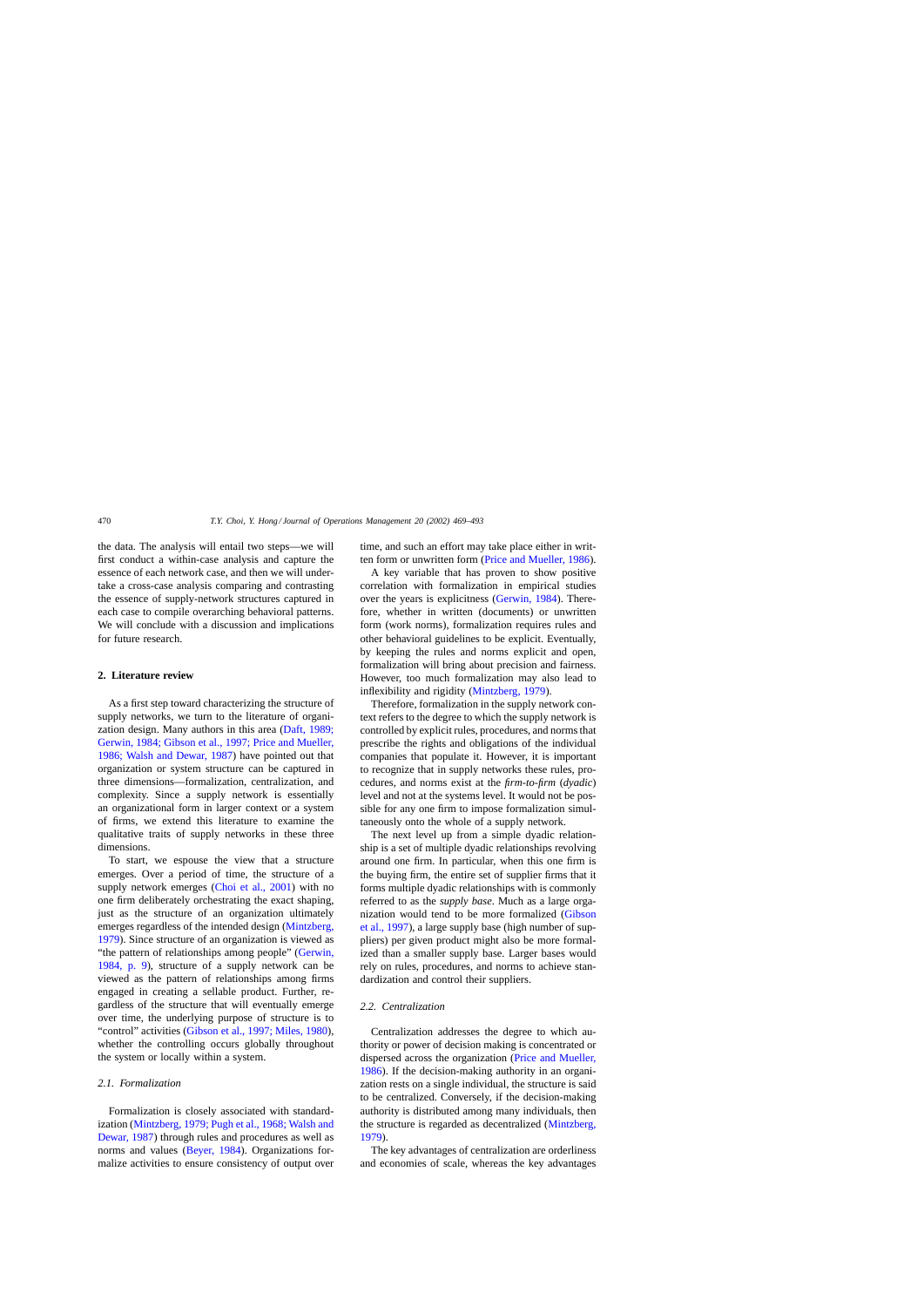the data. The analysis will entail two steps—we will first conduct a within-case analysis and capture the essence of each network case, and then we will undertake a cross-case analysis comparing and contrasting the essence of supply-network structures captured in each case to compile overarching behavioral patterns. We will conclude with a discussion and implications for future research.

#### **2. Literature review**

As a first step toward characterizing the structure of supply networks, we turn to the literature of organization design. Many authors in this area [\(Daft, 1989;](#page--1-0) [Gerwin, 1984; Gibson et al., 1997; Price and Mueller,](#page--1-0) [1986; Walsh and Dewar, 1987\)](#page--1-0) have pointed out that organization or system structure can be captured in three dimensions—formalization, centralization, and complexity. Since a supply network is essentially an organizational form in larger context or a system of firms, we extend this literature to examine the qualitative traits of supply networks in these three dimensions.

To start, we espouse the view that a structure emerges. Over a period of time, the structure of a supply network emerges ([Choi et al., 2001\)](#page--1-0) with no one firm deliberately orchestrating the exact shaping, just as the structure of an organization ultimately emerges regardless of the intended design ([Mintzberg,](#page--1-0) [1979\).](#page--1-0) Since structure of an organization is viewed as "the pattern of relationships among people" [\(Gerwin,](#page--1-0) [1984, p. 9\)](#page--1-0), structure of a supply network can be viewed as the pattern of relationships among firms engaged in creating a sellable product. Further, regardless of the structure that will eventually emerge over time, the underlying purpose of structure is to "control" activities [\(Gibson et al., 1997; Miles, 1980\),](#page--1-0) whether the controlling occurs globally throughout the system or locally within a system.

## *2.1. Formalization*

Formalization is closely associated with standardization ([Mintzberg, 1979; Pugh et al., 1968; Walsh and](#page--1-0) [Dewar, 1987\)](#page--1-0) through rules and procedures as well as norms and values ([Beyer, 1984\)](#page--1-0). Organizations formalize activities to ensure consistency of output over time, and such an effort may take place either in written form or unwritten form ([Price and Mueller, 1986\).](#page--1-0)

A key variable that has proven to show positive correlation with formalization in empirical studies over the years is explicitness [\(Gerwin, 1984\).](#page--1-0) Therefore, whether in written (documents) or unwritten form (work norms), formalization requires rules and other behavioral guidelines to be explicit. Eventually, by keeping the rules and norms explicit and open, formalization will bring about precision and fairness. However, too much formalization may also lead to inflexibility and rigidity ([Mintzberg, 1979\).](#page--1-0)

Therefore, formalization in the supply network context refers to the degree to which the supply network is controlled by explicit rules, procedures, and norms that prescribe the rights and obligations of the individual companies that populate it. However, it is important to recognize that in supply networks these rules, procedures, and norms exist at the *firm-to-firm* (*dyadic*) level and not at the systems level. It would not be possible for any one firm to impose formalization simultaneously onto the whole of a supply network.

The next level up from a simple dyadic relationship is a set of multiple dyadic relationships revolving around one firm. In particular, when this one firm is the buying firm, the entire set of supplier firms that it forms multiple dyadic relationships with is commonly referred to as the *supply base*. Much as a large organization would tend to be more formalized ([Gibson](#page--1-0) [et al., 1997\),](#page--1-0) a large supply base (high number of suppliers) per given product might also be more formalized than a smaller supply base. Larger bases would rely on rules, procedures, and norms to achieve standardization and control their suppliers.

### *2.2. Centralization*

Centralization addresses the degree to which authority or power of decision making is concentrated or dispersed across the organization ([Price and Mueller,](#page--1-0) [1986\).](#page--1-0) If the decision-making authority in an organization rests on a single individual, the structure is said to be centralized. Conversely, if the decision-making authority is distributed among many individuals, then the structure is regarded as decentralized ([Mintzberg,](#page--1-0) [1979\).](#page--1-0)

The key advantages of centralization are orderliness and economies of scale, whereas the key advantages